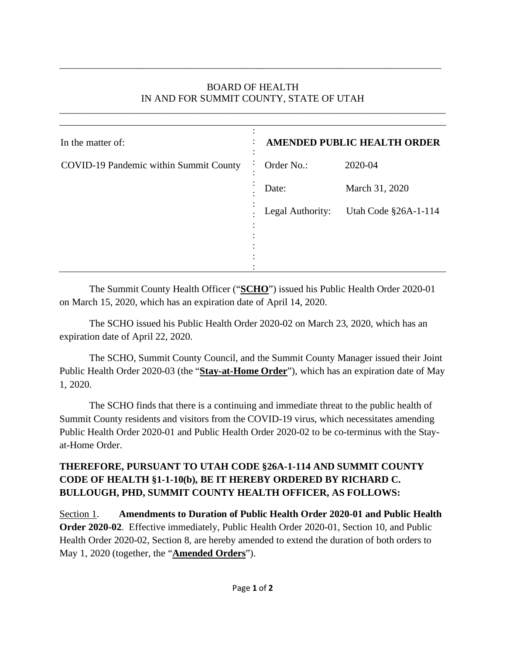## BOARD OF HEALTH IN AND FOR SUMMIT COUNTY, STATE OF UTAH

\_\_\_\_\_\_\_\_\_\_\_\_\_\_\_\_\_\_\_\_\_\_\_\_\_\_\_\_\_\_\_\_\_\_\_\_\_\_\_\_\_\_\_\_\_\_\_\_\_\_\_\_\_\_\_\_\_\_\_\_\_\_\_\_\_\_\_\_\_\_\_\_\_\_\_\_\_\_\_\_\_\_\_\_\_

\_\_\_\_\_\_\_\_\_\_\_\_\_\_\_\_\_\_\_\_\_\_\_\_\_\_\_\_\_\_\_\_\_\_\_\_\_\_\_\_\_\_\_\_\_\_\_\_\_\_\_\_\_\_\_\_\_\_\_\_\_\_\_\_\_\_\_\_\_\_\_\_\_\_\_\_\_\_\_\_\_\_\_\_

| In the matter of:                      | <b>AMENDED PUBLIC HEALTH ORDER</b> |                      |
|----------------------------------------|------------------------------------|----------------------|
| COVID-19 Pandemic within Summit County | Order No.:                         | 2020-04              |
|                                        | Date:                              | March 31, 2020       |
|                                        | Legal Authority:                   | Utah Code §26A-1-114 |
|                                        |                                    |                      |
|                                        |                                    |                      |
|                                        |                                    |                      |

The Summit County Health Officer ("**SCHO**") issued his Public Health Order 2020-01 on March 15, 2020, which has an expiration date of April 14, 2020.

The SCHO issued his Public Health Order 2020-02 on March 23, 2020, which has an expiration date of April 22, 2020.

The SCHO, Summit County Council, and the Summit County Manager issued their Joint Public Health Order 2020-03 (the "**Stay-at-Home Order**"), which has an expiration date of May 1, 2020.

The SCHO finds that there is a continuing and immediate threat to the public health of Summit County residents and visitors from the COVID-19 virus, which necessitates amending Public Health Order 2020-01 and Public Health Order 2020-02 to be co-terminus with the Stayat-Home Order.

## **THEREFORE, PURSUANT TO UTAH CODE §26A-1-114 AND SUMMIT COUNTY CODE OF HEALTH §1-1-10(b), BE IT HEREBY ORDERED BY RICHARD C. BULLOUGH, PHD, SUMMIT COUNTY HEALTH OFFICER, AS FOLLOWS:**

Section 1. **Amendments to Duration of Public Health Order 2020-01 and Public Health Order 2020-02**. Effective immediately, Public Health Order 2020-01, Section 10, and Public Health Order 2020-02, Section 8, are hereby amended to extend the duration of both orders to May 1, 2020 (together, the "**Amended Orders**").